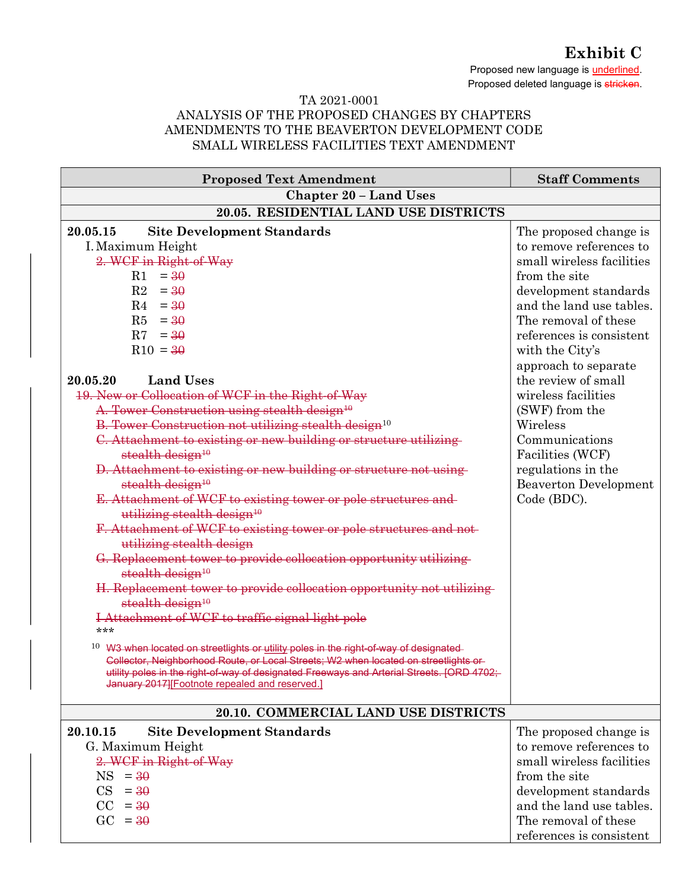Exhibit C

Proposed new language is **underlined**. Proposed deleted language is stricken.

## TA 2021-0001 ANALYSIS OF THE PROPOSED CHANGES BY CHAPTERS AMENDMENTS TO THE BEAVERTON DEVELOPMENT CODE SMALL WIRELESS FACILITIES TEXT AMENDMENT

| <b>Proposed Text Amendment</b>                                                                                                                                                                                                                                                                                                                                                                                                                                                                                                                                                                                                                                                                                                                                                                                                                                                                                                                                                                                                                                                                                                                                                                                                                                                                                                                                                                                                                        | <b>Staff Comments</b>                                                                                                                                                                                                                                                                                                                                                                                                                      |  |
|-------------------------------------------------------------------------------------------------------------------------------------------------------------------------------------------------------------------------------------------------------------------------------------------------------------------------------------------------------------------------------------------------------------------------------------------------------------------------------------------------------------------------------------------------------------------------------------------------------------------------------------------------------------------------------------------------------------------------------------------------------------------------------------------------------------------------------------------------------------------------------------------------------------------------------------------------------------------------------------------------------------------------------------------------------------------------------------------------------------------------------------------------------------------------------------------------------------------------------------------------------------------------------------------------------------------------------------------------------------------------------------------------------------------------------------------------------|--------------------------------------------------------------------------------------------------------------------------------------------------------------------------------------------------------------------------------------------------------------------------------------------------------------------------------------------------------------------------------------------------------------------------------------------|--|
| <b>Chapter 20 - Land Uses</b>                                                                                                                                                                                                                                                                                                                                                                                                                                                                                                                                                                                                                                                                                                                                                                                                                                                                                                                                                                                                                                                                                                                                                                                                                                                                                                                                                                                                                         |                                                                                                                                                                                                                                                                                                                                                                                                                                            |  |
| 20.05. RESIDENTIAL LAND USE DISTRICTS                                                                                                                                                                                                                                                                                                                                                                                                                                                                                                                                                                                                                                                                                                                                                                                                                                                                                                                                                                                                                                                                                                                                                                                                                                                                                                                                                                                                                 |                                                                                                                                                                                                                                                                                                                                                                                                                                            |  |
| 20.05.15<br><b>Site Development Standards</b><br>I. Maximum Height<br>2. WCF in Right-of-Way<br>$=$ 30<br>$\rm R1$<br>R2<br>$=$ 30<br>$R4 = 30$<br>$R5 = 30$<br>$R7 = 30$<br>$R10 = 30$<br><b>Land Uses</b><br>20.05.20<br>19. New or Collocation of WCF in the Right of Way<br>A. Tower Construction using stealth design <sup>10</sup><br>B. Tower Construction not utilizing stealth design <sup>10</sup><br>C. Attachment to existing or new building or structure utilizing<br>stealth design <sup>10</sup><br>D. Attachment to existing or new building or structure not using-<br>stealth design <sup>10</sup><br>E. Attachment of WCF to existing tower or pole structures and<br>utilizing stealth design <sup>10</sup><br>F. Attachment of WCF to existing tower or pole structures and not-<br>utilizing stealth design<br>G. Replacement tower to provide collocation opportunity utilizing<br>stealth design <sup>10</sup><br>H. Replacement tower to provide collocation opportunity not utilizing<br>stealth design <sup>10</sup><br>I Attachment of WCF to traffic signal light pole<br>***<br><sup>10</sup> W3 when located on streetlights or utility poles in the right-of-way of designated<br>Collector, Neighborhood Route, or Local Streets; W2 when located on streetlights or<br>utility poles in the right of way of designated Freeways and Arterial Streets. [ORD 4702;<br>January 2017][Footnote repealed and reserved.] | The proposed change is<br>to remove references to<br>small wireless facilities<br>from the site<br>development standards<br>and the land use tables.<br>The removal of these<br>references is consistent<br>with the City's<br>approach to separate<br>the review of small<br>wireless facilities<br>(SWF) from the<br>Wireless<br>Communications<br>Facilities (WCF)<br>regulations in the<br><b>Beaverton Development</b><br>Code (BDC). |  |
| 20.10. COMMERCIAL LAND USE DISTRICTS                                                                                                                                                                                                                                                                                                                                                                                                                                                                                                                                                                                                                                                                                                                                                                                                                                                                                                                                                                                                                                                                                                                                                                                                                                                                                                                                                                                                                  |                                                                                                                                                                                                                                                                                                                                                                                                                                            |  |
| 20.10.15<br><b>Site Development Standards</b><br>G. Maximum Height<br>2. WCF in Right-of-Way<br>NS  <br>$=$ 30<br>CS<br>$=$ 30<br>$CC = 30$<br>$\rm GC$<br>$=$ 30                                                                                                                                                                                                                                                                                                                                                                                                                                                                                                                                                                                                                                                                                                                                                                                                                                                                                                                                                                                                                                                                                                                                                                                                                                                                                     | The proposed change is<br>to remove references to<br>small wireless facilities<br>from the site<br>development standards<br>and the land use tables.<br>The removal of these<br>references is consistent                                                                                                                                                                                                                                   |  |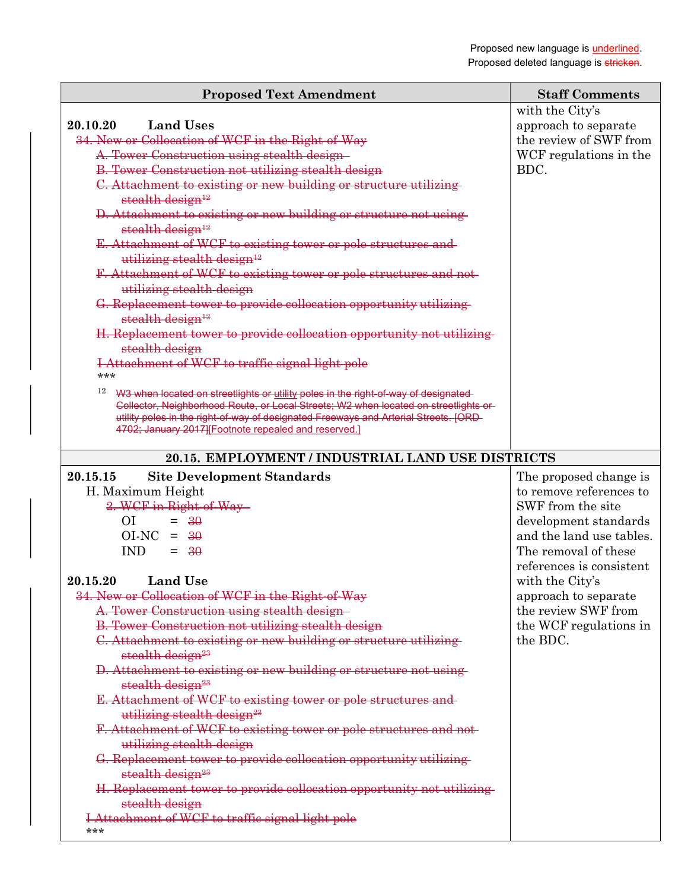|                                                                                                                                                                                                                                                                                                                                 | <b>Staff Comments</b>                          |
|---------------------------------------------------------------------------------------------------------------------------------------------------------------------------------------------------------------------------------------------------------------------------------------------------------------------------------|------------------------------------------------|
| <b>Proposed Text Amendment</b>                                                                                                                                                                                                                                                                                                  |                                                |
|                                                                                                                                                                                                                                                                                                                                 | with the City's                                |
| 20.10.20<br><b>Land Uses</b><br>34. New or Collocation of WCF in the Right of Way                                                                                                                                                                                                                                               | approach to separate<br>the review of SWF from |
| A. Tower Construction using stealth design-                                                                                                                                                                                                                                                                                     | WCF regulations in the                         |
| B. Tower Construction not utilizing stealth design                                                                                                                                                                                                                                                                              | BDC.                                           |
| C. Attachment to existing or new building or structure utilizing                                                                                                                                                                                                                                                                |                                                |
| stealth design <sup>12</sup>                                                                                                                                                                                                                                                                                                    |                                                |
| D. Attachment to existing or new building or structure not using                                                                                                                                                                                                                                                                |                                                |
| stealth design <sup>12</sup>                                                                                                                                                                                                                                                                                                    |                                                |
| E. Attachment of WCF to existing tower or pole structures and                                                                                                                                                                                                                                                                   |                                                |
| utilizing stealth design <sup>12</sup>                                                                                                                                                                                                                                                                                          |                                                |
| F. Attachment of WCF to existing tower or pole structures and not-                                                                                                                                                                                                                                                              |                                                |
| utilizing stealth design                                                                                                                                                                                                                                                                                                        |                                                |
| G. Replacement tower to provide collocation opportunity utilizing<br>stealth design <sup>12</sup>                                                                                                                                                                                                                               |                                                |
| H. Replacement tower to provide collocation opportunity not utilizing<br>stealth design                                                                                                                                                                                                                                         |                                                |
| I Attachment of WCF to traffic signal light pole<br>***                                                                                                                                                                                                                                                                         |                                                |
| 12<br>W3 when located on streetlights or utility poles in the right-of-way of designated<br>Collector, Neighborhood Route, or Local Streets; W2 when located on streetlights or<br>utility poles in the right of way of designated Freeways and Arterial Streets. [ORD-<br>4702; January 2017][Footnote repealed and reserved.] |                                                |
| 20.15. EMPLOYMENT / INDUSTRIAL LAND USE DISTRICTS                                                                                                                                                                                                                                                                               |                                                |
| 20.15.15<br><b>Site Development Standards</b>                                                                                                                                                                                                                                                                                   | The proposed change is                         |
| H. Maximum Height                                                                                                                                                                                                                                                                                                               | to remove references to                        |
| 2. WCF in Right-of-Way-                                                                                                                                                                                                                                                                                                         | SWF from the site                              |
| O <sub>I</sub><br>$= 30$                                                                                                                                                                                                                                                                                                        | development standards                          |
| $OI-NC = 30$                                                                                                                                                                                                                                                                                                                    | and the land use tables.                       |
| <b>IND</b><br>$=$ 30                                                                                                                                                                                                                                                                                                            | The removal of these                           |
|                                                                                                                                                                                                                                                                                                                                 | references is consistent                       |
| 20.15.20 Land Use                                                                                                                                                                                                                                                                                                               | with the City's                                |
| 34. New or Collocation of WCF in the Right of Way                                                                                                                                                                                                                                                                               | approach to separate                           |
| A. Tower Construction using stealth design-                                                                                                                                                                                                                                                                                     | the review SWF from                            |
| <b>B. Tower Construction not utilizing stealth design</b>                                                                                                                                                                                                                                                                       | the WCF regulations in                         |
| C. Attachment to existing or new building or structure utilizing<br>stealth design <sup>23</sup>                                                                                                                                                                                                                                | the BDC.                                       |
| D. Attachment to existing or new building or structure not using                                                                                                                                                                                                                                                                |                                                |
| stealth design <sup>23</sup>                                                                                                                                                                                                                                                                                                    |                                                |
| E. Attachment of WCF to existing tower or pole structures and-                                                                                                                                                                                                                                                                  |                                                |
| utilizing stealth design <sup>23</sup>                                                                                                                                                                                                                                                                                          |                                                |
| F. Attachment of WCF to existing tower or pole structures and not-                                                                                                                                                                                                                                                              |                                                |
| utilizing stealth design                                                                                                                                                                                                                                                                                                        |                                                |
| G. Replacement tower to provide collocation opportunity utilizing-<br>stealth design <sup>23</sup>                                                                                                                                                                                                                              |                                                |
| H. Replacement tower to provide collocation opportunity not utilizing-                                                                                                                                                                                                                                                          |                                                |

stealth design

I Attachment of WCF to traffic signal light pole

\*\*\*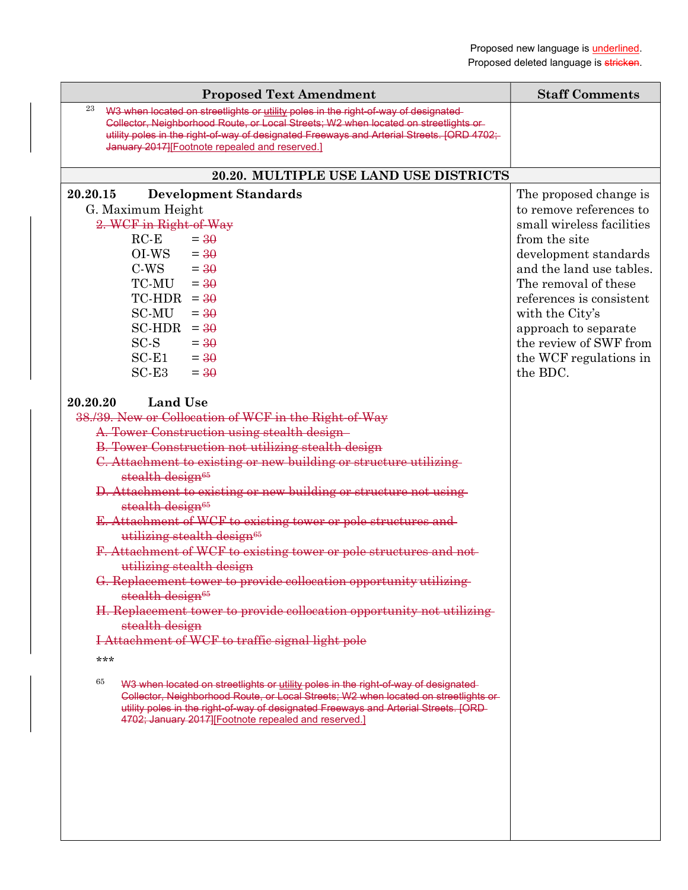| <b>Proposed Text Amendment</b>                                                                                                                                                    | <b>Staff Comments</b>                            |
|-----------------------------------------------------------------------------------------------------------------------------------------------------------------------------------|--------------------------------------------------|
| 23<br>W3 when located on streetlights or utility poles in the right-of-way of designated                                                                                          |                                                  |
| Collector, Neighborhood Route, or Local Streets; W2 when located on streetlights or<br>utility poles in the right-of-way of designated Freeways and Arterial Streets. [ORD 4702;- |                                                  |
| January 2017][Footnote repealed and reserved.]                                                                                                                                    |                                                  |
|                                                                                                                                                                                   |                                                  |
| 20.20. MULTIPLE USE LAND USE DISTRICTS                                                                                                                                            |                                                  |
| 20.20.15<br><b>Development Standards</b>                                                                                                                                          | The proposed change is                           |
| G. Maximum Height                                                                                                                                                                 | to remove references to                          |
| 2. WCF in Right-of-Way                                                                                                                                                            | small wireless facilities                        |
| $RC-E$<br>$=$ 30                                                                                                                                                                  | from the site                                    |
| OI-WS<br>$=$ 30                                                                                                                                                                   | development standards                            |
| $C-WS = 30$                                                                                                                                                                       | and the land use tables.                         |
| $TC-MU = 30$<br>$TC-HDR = 30$                                                                                                                                                     | The removal of these<br>references is consistent |
| SC-MU<br>$=$ 30                                                                                                                                                                   | with the City's                                  |
| $SC-HDR = 30$                                                                                                                                                                     | approach to separate                             |
| $SC-S$<br>$=$ 30                                                                                                                                                                  | the review of SWF from                           |
| $SC-E1$<br>$=$ 30                                                                                                                                                                 | the WCF regulations in                           |
| $SC-E3$<br>$=$ 30                                                                                                                                                                 | the BDC.                                         |
|                                                                                                                                                                                   |                                                  |
| <b>Land Use</b><br>20.20.20                                                                                                                                                       |                                                  |
| 38./39. New or Collocation of WCF in the Right of Way                                                                                                                             |                                                  |
| A. Tower Construction using stealth design-                                                                                                                                       |                                                  |
| <b>B. Tower Construction not utilizing stealth design</b>                                                                                                                         |                                                  |
| C. Attachment to existing or new building or structure utilizing                                                                                                                  |                                                  |
| stealth design <sup>65</sup><br>D. Attachment to existing or new building or structure not using                                                                                  |                                                  |
| stealth design <sup>65</sup>                                                                                                                                                      |                                                  |
| E. Attachment of WCF to existing tower or pole structures and                                                                                                                     |                                                  |
| utilizing stealth design <sup>65</sup>                                                                                                                                            |                                                  |
| F. Attachment of WCF to existing tower or pole structures and not-                                                                                                                |                                                  |
| utilizing stealth design                                                                                                                                                          |                                                  |
| G. Replacement tower to provide collocation opportunity utilizing                                                                                                                 |                                                  |
| stealth design <sup>65</sup>                                                                                                                                                      |                                                  |
| H. Replacement tower to provide collocation opportunity not utilizing-                                                                                                            |                                                  |
| stealth design                                                                                                                                                                    |                                                  |
| I Attachment of WCF to traffic signal light pole                                                                                                                                  |                                                  |
| ***                                                                                                                                                                               |                                                  |
| 65<br>W3 when located on streetlights or utility poles in the right-of-way of designated                                                                                          |                                                  |
| Collector, Neighborhood Route, or Local Streets; W2 when located on streetlights or-                                                                                              |                                                  |
| utility poles in the right of way of designated Freeways and Arterial Streets. [ORD-<br>4702; January 2017][Footnote repealed and reserved.]                                      |                                                  |
|                                                                                                                                                                                   |                                                  |
|                                                                                                                                                                                   |                                                  |
|                                                                                                                                                                                   |                                                  |
|                                                                                                                                                                                   |                                                  |
|                                                                                                                                                                                   |                                                  |
|                                                                                                                                                                                   |                                                  |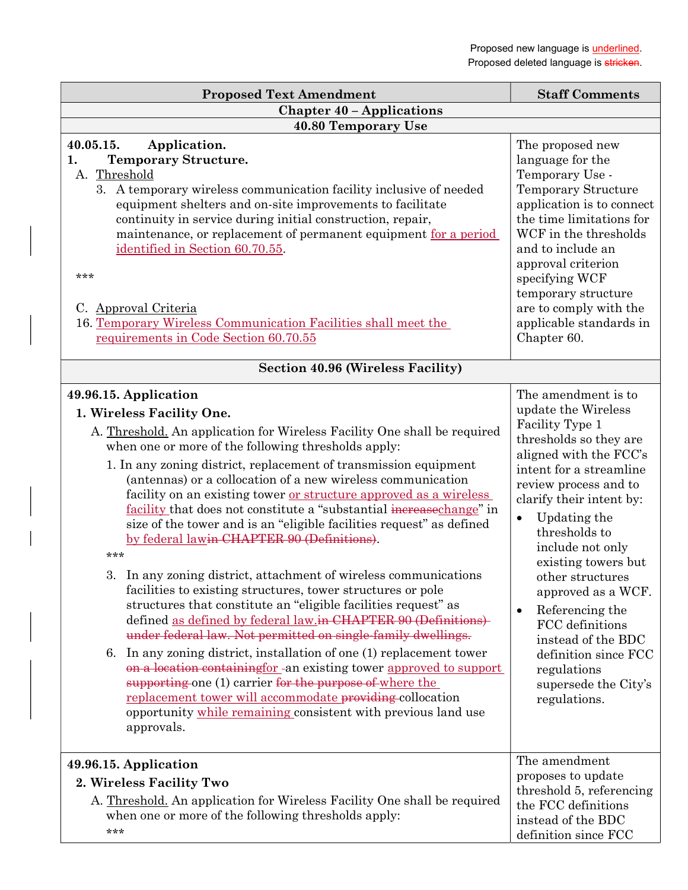| <b>Proposed Text Amendment</b>                                                                                                                                                                                                                                                                                                                                                                                                                                                                                                                                                                                                                                                                                                                                                                                                                                                                                                                                                                                                                                                                                                                                                                                                                                                                      | <b>Staff Comments</b>                                                                                                                                                                                                                                                                                                                                                                                                                                                           |  |
|-----------------------------------------------------------------------------------------------------------------------------------------------------------------------------------------------------------------------------------------------------------------------------------------------------------------------------------------------------------------------------------------------------------------------------------------------------------------------------------------------------------------------------------------------------------------------------------------------------------------------------------------------------------------------------------------------------------------------------------------------------------------------------------------------------------------------------------------------------------------------------------------------------------------------------------------------------------------------------------------------------------------------------------------------------------------------------------------------------------------------------------------------------------------------------------------------------------------------------------------------------------------------------------------------------|---------------------------------------------------------------------------------------------------------------------------------------------------------------------------------------------------------------------------------------------------------------------------------------------------------------------------------------------------------------------------------------------------------------------------------------------------------------------------------|--|
| <b>Chapter 40 - Applications</b>                                                                                                                                                                                                                                                                                                                                                                                                                                                                                                                                                                                                                                                                                                                                                                                                                                                                                                                                                                                                                                                                                                                                                                                                                                                                    |                                                                                                                                                                                                                                                                                                                                                                                                                                                                                 |  |
| <b>40.80 Temporary Use</b>                                                                                                                                                                                                                                                                                                                                                                                                                                                                                                                                                                                                                                                                                                                                                                                                                                                                                                                                                                                                                                                                                                                                                                                                                                                                          |                                                                                                                                                                                                                                                                                                                                                                                                                                                                                 |  |
| 40.05.15.<br>Application.<br><b>Temporary Structure.</b><br>1.<br>A. Threshold<br>3. A temporary wireless communication facility inclusive of needed<br>equipment shelters and on-site improvements to facilitate<br>continuity in service during initial construction, repair,<br>maintenance, or replacement of permanent equipment for a period<br>identified in Section 60.70.55.<br>***<br>C. Approval Criteria<br>16. Temporary Wireless Communication Facilities shall meet the<br>requirements in Code Section 60.70.55                                                                                                                                                                                                                                                                                                                                                                                                                                                                                                                                                                                                                                                                                                                                                                     | The proposed new<br>language for the<br>Temporary Use -<br><b>Temporary Structure</b><br>application is to connect<br>the time limitations for<br>WCF in the thresholds<br>and to include an<br>approval criterion<br>specifying WCF<br>temporary structure<br>are to comply with the<br>applicable standards in<br>Chapter 60.                                                                                                                                                 |  |
| <b>Section 40.96 (Wireless Facility)</b>                                                                                                                                                                                                                                                                                                                                                                                                                                                                                                                                                                                                                                                                                                                                                                                                                                                                                                                                                                                                                                                                                                                                                                                                                                                            |                                                                                                                                                                                                                                                                                                                                                                                                                                                                                 |  |
| 49.96.15. Application<br>1. Wireless Facility One.<br>A. Threshold. An application for Wireless Facility One shall be required<br>when one or more of the following thresholds apply:<br>1. In any zoning district, replacement of transmission equipment<br>(antennas) or a collocation of a new wireless communication<br>facility on an existing tower or structure approved as a wireless<br>facility that does not constitute a "substantial increased hange" in<br>size of the tower and is an "eligible facilities request" as defined<br>by federal lawin CHAPTER 90 (Definitions).<br>***<br>3.<br>In any zoning district, attachment of wireless communications<br>facilities to existing structures, tower structures or pole<br>structures that constitute an "eligible facilities request" as<br>defined as defined by federal law.in CHAPTER 90 (Definitions)<br>under federal law. Not permitted on single-family dwellings.<br>In any zoning district, installation of one (1) replacement tower<br>6.<br>on a location containing for -an existing tower approved to support<br>supporting one (1) carrier for the purpose of where the<br>replacement tower will accommodate providing collocation<br>opportunity while remaining consistent with previous land use<br>approvals. | The amendment is to<br>update the Wireless<br>Facility Type 1<br>thresholds so they are<br>aligned with the FCC's<br>intent for a streamline<br>review process and to<br>clarify their intent by:<br>Updating the<br>$\bullet$<br>thresholds to<br>include not only<br>existing towers but<br>other structures<br>approved as a WCF.<br>Referencing the<br>FCC definitions<br>instead of the BDC<br>definition since FCC<br>regulations<br>supersede the City's<br>regulations. |  |
| 49.96.15. Application<br>2. Wireless Facility Two<br>A. Threshold. An application for Wireless Facility One shall be required<br>when one or more of the following thresholds apply:<br>***                                                                                                                                                                                                                                                                                                                                                                                                                                                                                                                                                                                                                                                                                                                                                                                                                                                                                                                                                                                                                                                                                                         | The amendment<br>proposes to update<br>threshold 5, referencing<br>the FCC definitions<br>instead of the BDC<br>definition since FCC                                                                                                                                                                                                                                                                                                                                            |  |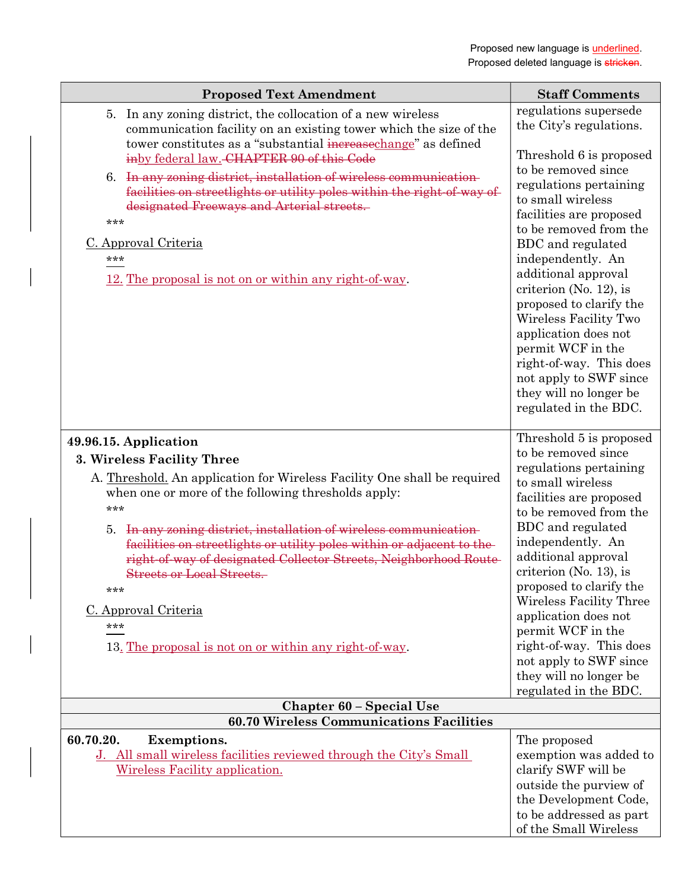| <b>Proposed Text Amendment</b>                                                                                                                                                                                                                                                                                                                                                                                                                                                                                                                         | <b>Staff Comments</b>                                                                                                                                                                                                                                                                                                                                                                                                                                                                                      |
|--------------------------------------------------------------------------------------------------------------------------------------------------------------------------------------------------------------------------------------------------------------------------------------------------------------------------------------------------------------------------------------------------------------------------------------------------------------------------------------------------------------------------------------------------------|------------------------------------------------------------------------------------------------------------------------------------------------------------------------------------------------------------------------------------------------------------------------------------------------------------------------------------------------------------------------------------------------------------------------------------------------------------------------------------------------------------|
| 5. In any zoning district, the collocation of a new wireless<br>communication facility on an existing tower which the size of the<br>tower constitutes as a "substantial increasechange" as defined<br>inby federal law. CHAPTER 90 of this Code<br>In any zoning district, installation of wireless communication-<br>6.<br>facilities on streetlights or utility poles within the right of way of<br>designated Freeways and Arterial streets.<br>***<br>C. Approval Criteria<br>***<br>12. The proposal is not on or within any right-of-way.       | regulations supersede<br>the City's regulations.<br>Threshold 6 is proposed<br>to be removed since<br>regulations pertaining<br>to small wireless<br>facilities are proposed<br>to be removed from the<br>BDC and regulated<br>independently. An<br>additional approval<br>criterion (No. 12), is<br>proposed to clarify the<br>Wireless Facility Two<br>application does not<br>permit WCF in the<br>right-of-way. This does<br>not apply to SWF since<br>they will no longer be<br>regulated in the BDC. |
| 49.96.15. Application<br>3. Wireless Facility Three<br>A. Threshold. An application for Wireless Facility One shall be required<br>when one or more of the following thresholds apply:<br>***<br>5. In any zoning district, installation of wireless communication-<br>facilities on streetlights or utility poles within or adjacent to the-<br>right-of-way of designated Collector Streets, Neighborhood Route-<br><b>Streets or Local Streets.</b><br>***<br>C. Approval Criteria<br>***<br>13. The proposal is not on or within any right-of-way. | Threshold 5 is proposed<br>to be removed since<br>regulations pertaining<br>to small wireless<br>facilities are proposed<br>to be removed from the<br>BDC and regulated<br>independently. An<br>additional approval<br>criterion (No. 13), is<br>proposed to clarify the<br>Wireless Facility Three<br>application does not<br>permit WCF in the<br>right-of-way. This does<br>not apply to SWF since<br>they will no longer be<br>regulated in the BDC.                                                   |
| <b>Chapter 60 - Special Use</b>                                                                                                                                                                                                                                                                                                                                                                                                                                                                                                                        |                                                                                                                                                                                                                                                                                                                                                                                                                                                                                                            |
| <b>60.70 Wireless Communications Facilities</b>                                                                                                                                                                                                                                                                                                                                                                                                                                                                                                        |                                                                                                                                                                                                                                                                                                                                                                                                                                                                                                            |
| 60.70.20.<br><b>Exemptions.</b><br>J. All small wireless facilities reviewed through the City's Small<br>Wireless Facility application.                                                                                                                                                                                                                                                                                                                                                                                                                | The proposed<br>exemption was added to<br>clarify SWF will be<br>outside the purview of<br>the Development Code,<br>to be addressed as part<br>of the Small Wireless                                                                                                                                                                                                                                                                                                                                       |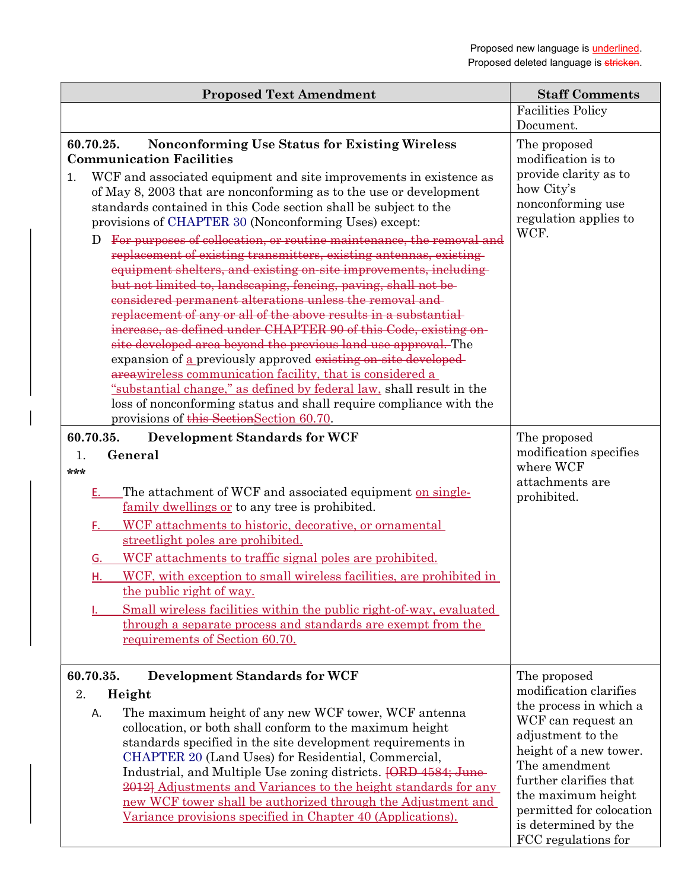| <b>Proposed Text Amendment</b>                                                                                                                                                                                                                                                                                                                                                                                                                                                                                                                                                                                                                                                                                                                                                                                                                                                                                                                                                                                                                                                                                                                                                                                                                                                | <b>Staff Comments</b>                                                                                                                                                                                                                                                             |
|-------------------------------------------------------------------------------------------------------------------------------------------------------------------------------------------------------------------------------------------------------------------------------------------------------------------------------------------------------------------------------------------------------------------------------------------------------------------------------------------------------------------------------------------------------------------------------------------------------------------------------------------------------------------------------------------------------------------------------------------------------------------------------------------------------------------------------------------------------------------------------------------------------------------------------------------------------------------------------------------------------------------------------------------------------------------------------------------------------------------------------------------------------------------------------------------------------------------------------------------------------------------------------|-----------------------------------------------------------------------------------------------------------------------------------------------------------------------------------------------------------------------------------------------------------------------------------|
|                                                                                                                                                                                                                                                                                                                                                                                                                                                                                                                                                                                                                                                                                                                                                                                                                                                                                                                                                                                                                                                                                                                                                                                                                                                                               | <b>Facilities Policy</b>                                                                                                                                                                                                                                                          |
|                                                                                                                                                                                                                                                                                                                                                                                                                                                                                                                                                                                                                                                                                                                                                                                                                                                                                                                                                                                                                                                                                                                                                                                                                                                                               | Document.                                                                                                                                                                                                                                                                         |
| 60.70.25.<br><b>Nonconforming Use Status for Existing Wireless</b><br><b>Communication Facilities</b><br>WCF and associated equipment and site improvements in existence as<br>1.<br>of May 8, 2003 that are nonconforming as to the use or development<br>standards contained in this Code section shall be subject to the<br>provisions of CHAPTER 30 (Nonconforming Uses) except:<br>For purposes of collocation, or routine maintenance, the removal and<br>D<br>replacement of existing transmitters, existing antennas, existing<br>equipment shelters, and existing on-site improvements, including-<br>but not limited to, landscaping, fencing, paving, shall not be-<br>considered permanent alterations unless the removal and-<br>replacement of any or all of the above results in a substantial<br>increase, as defined under CHAPTER 90 of this Code, existing on-<br>site developed area beyond the previous land use approval. The<br>expansion of a previously approved existing on-site developed-<br>areawireless communication facility, that is considered a<br>"substantial change," as defined by federal law, shall result in the<br>loss of nonconforming status and shall require compliance with the<br>provisions of this Section Section 60.70. | The proposed<br>modification is to<br>provide clarity as to<br>how City's<br>nonconforming use<br>regulation applies to<br>WCF.                                                                                                                                                   |
| 60.70.35.<br><b>Development Standards for WCF</b>                                                                                                                                                                                                                                                                                                                                                                                                                                                                                                                                                                                                                                                                                                                                                                                                                                                                                                                                                                                                                                                                                                                                                                                                                             | The proposed                                                                                                                                                                                                                                                                      |
| General<br>1.<br>***<br>The attachment of WCF and associated equipment on single-<br>Ε.<br>family dwellings or to any tree is prohibited.<br>WCF attachments to historic, decorative, or ornamental<br>F.<br>streetlight poles are prohibited.<br>WCF attachments to traffic signal poles are prohibited.<br>G.<br>WCF, with exception to small wireless facilities, are prohibited in<br>Н.<br>the public right of way.<br>Small wireless facilities within the public right-of-way, evaluated<br>through a separate process and standards are exempt from the<br>requirements of Section 60.70.                                                                                                                                                                                                                                                                                                                                                                                                                                                                                                                                                                                                                                                                             | modification specifies<br>where WCF<br>attachments are<br>prohibited.                                                                                                                                                                                                             |
| <b>Development Standards for WCF</b><br>60.70.35.<br>2.<br>Height<br>The maximum height of any new WCF tower, WCF antenna<br>Α.<br>collocation, or both shall conform to the maximum height<br>standards specified in the site development requirements in<br>CHAPTER 20 (Land Uses) for Residential, Commercial,<br>Industrial, and Multiple Use zoning districts. [ORD 4584; June-<br>2012] Adjustments and Variances to the height standards for any<br>new WCF tower shall be authorized through the Adjustment and<br>Variance provisions specified in Chapter 40 (Applications).                                                                                                                                                                                                                                                                                                                                                                                                                                                                                                                                                                                                                                                                                        | The proposed<br>modification clarifies<br>the process in which a<br>WCF can request an<br>adjustment to the<br>height of a new tower.<br>The amendment<br>further clarifies that<br>the maximum height<br>permitted for colocation<br>is determined by the<br>FCC regulations for |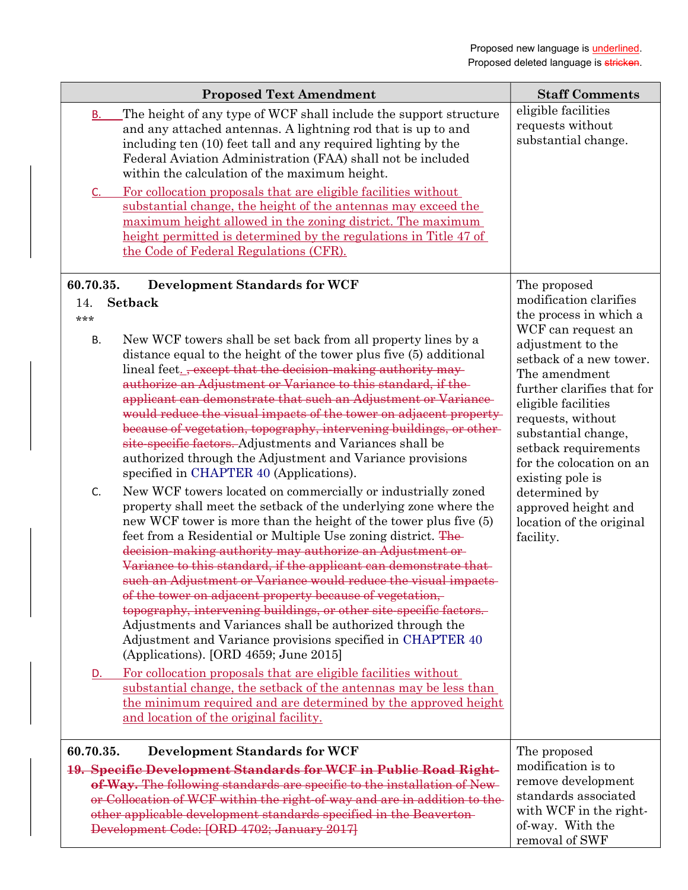| <b>Proposed Text Amendment</b>                                                                                                                                                                                                                                                                                                                                                                                                                                                                                                                                                                                                                                                                                                                                                                                                                             | <b>Staff Comments</b>                                                                                                                                                                                                                                                                                                                                    |
|------------------------------------------------------------------------------------------------------------------------------------------------------------------------------------------------------------------------------------------------------------------------------------------------------------------------------------------------------------------------------------------------------------------------------------------------------------------------------------------------------------------------------------------------------------------------------------------------------------------------------------------------------------------------------------------------------------------------------------------------------------------------------------------------------------------------------------------------------------|----------------------------------------------------------------------------------------------------------------------------------------------------------------------------------------------------------------------------------------------------------------------------------------------------------------------------------------------------------|
| The height of any type of WCF shall include the support structure<br><b>B.</b><br>and any attached antennas. A lightning rod that is up to and<br>including ten (10) feet tall and any required lighting by the<br>Federal Aviation Administration (FAA) shall not be included<br>within the calculation of the maximum height.<br>For collocation proposals that are eligible facilities without<br>C.<br>substantial change, the height of the antennas may exceed the<br>maximum height allowed in the zoning district. The maximum<br>height permitted is determined by the regulations in Title 47 of<br>the Code of Federal Regulations (CFR).                                                                                                                                                                                                       | eligible facilities<br>requests without<br>substantial change.                                                                                                                                                                                                                                                                                           |
| 60.70.35.<br><b>Development Standards for WCF</b>                                                                                                                                                                                                                                                                                                                                                                                                                                                                                                                                                                                                                                                                                                                                                                                                          | The proposed                                                                                                                                                                                                                                                                                                                                             |
| <b>Setback</b><br>14.<br>***<br>New WCF towers shall be set back from all property lines by a<br><b>B.</b><br>distance equal to the height of the tower plus five (5) additional<br>lineal feet. <sub>-</sub> except that the decision-making authority may-<br>authorize an Adjustment or Variance to this standard, if the<br>applicant can demonstrate that such an Adjustment or Variance-<br>would reduce the visual impacts of the tower on adjacent property-<br>because of vegetation, topography, intervening buildings, or other-<br>site-specific factors. Adjustments and Variances shall be<br>authorized through the Adjustment and Variance provisions<br>specified in CHAPTER 40 (Applications).<br>New WCF towers located on commercially or industrially zoned<br>C.<br>property shall meet the setback of the underlying zone where the | modification clarifies<br>the process in which a<br>WCF can request an<br>adjustment to the<br>setback of a new tower.<br>The amendment<br>further clarifies that for<br>eligible facilities<br>requests, without<br>substantial change,<br>setback requirements<br>for the colocation on an<br>existing pole is<br>determined by<br>approved height and |
| new WCF tower is more than the height of the tower plus five (5)<br>feet from a Residential or Multiple Use zoning district. The<br>decision-making authority may authorize an Adjustment or-<br>Variance to this standard, if the applicant can demonstrate that-<br>such an Adjustment or Variance would reduce the visual impacts<br>of the tower on adjacent property because of vegetation,<br>topography, intervening buildings, or other site-specific factors.<br>Adjustments and Variances shall be authorized through the<br>Adjustment and Variance provisions specified in CHAPTER 40<br>(Applications). [ORD 4659; June 2015]                                                                                                                                                                                                                 | location of the original<br>facility.                                                                                                                                                                                                                                                                                                                    |
| For collocation proposals that are eligible facilities without<br>D.<br>substantial change, the setback of the antennas may be less than<br>the minimum required and are determined by the approved height<br>and location of the original facility.                                                                                                                                                                                                                                                                                                                                                                                                                                                                                                                                                                                                       |                                                                                                                                                                                                                                                                                                                                                          |
| 60.70.35.<br><b>Development Standards for WCF</b><br>19. Specific Development Standards for WCF in Public Road Right-<br>of-Way. The following standards are specific to the installation of New-<br>or Collocation of WCF within the right-of-way and are in addition to the-<br>other applicable development standards specified in the Beaverton-<br>Development Code: [ORD 4702; January 2017]                                                                                                                                                                                                                                                                                                                                                                                                                                                         | The proposed<br>modification is to<br>remove development<br>standards associated<br>with WCF in the right-<br>of-way. With the<br>removal of SWF                                                                                                                                                                                                         |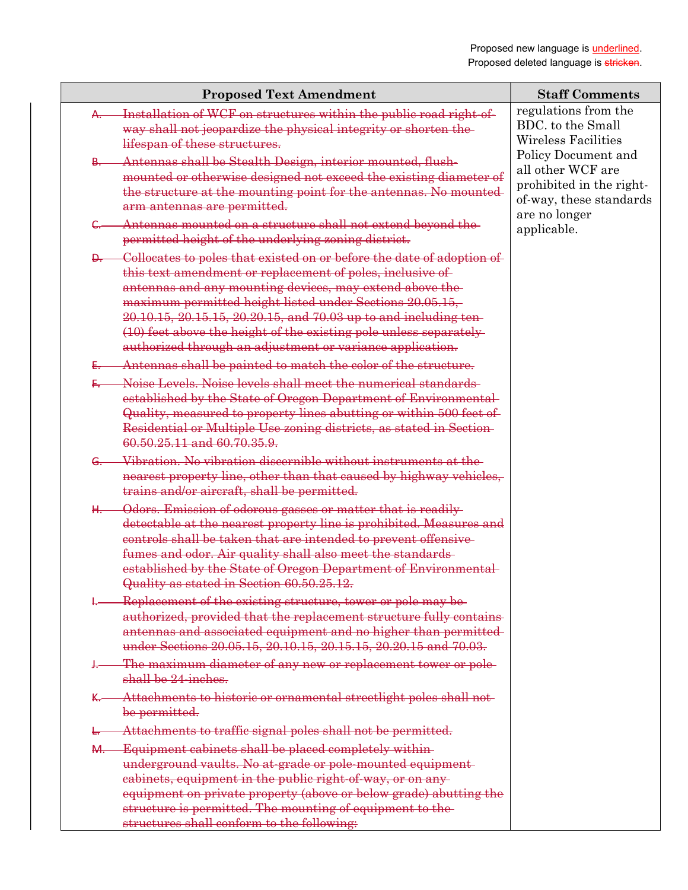|     | <b>Proposed Text Amendment</b>                                                                                                                                                                                                                                                                                                                                                                                                                                              | <b>Staff Comments</b>                                                                                            |
|-----|-----------------------------------------------------------------------------------------------------------------------------------------------------------------------------------------------------------------------------------------------------------------------------------------------------------------------------------------------------------------------------------------------------------------------------------------------------------------------------|------------------------------------------------------------------------------------------------------------------|
| ₳–  | Installation of WCF on structures within the public road right of-<br>way shall not jeopardize the physical integrity or shorten the<br>lifespan of these structures.                                                                                                                                                                                                                                                                                                       | regulations from the<br>BDC, to the Small<br><b>Wireless Facilities</b>                                          |
| ₽—  | Antennas shall be Stealth Design, interior mounted, flush-<br>mounted or otherwise designed not exceed the existing diameter of<br>the structure at the mounting point for the antennas. No mounted<br>arm antennas are permitted.                                                                                                                                                                                                                                          | Policy Document and<br>all other WCF are<br>prohibited in the right-<br>of-way, these standards<br>are no longer |
|     | Antennas mounted on a structure shall not extend beyond the<br>permitted height of the underlying zoning district.                                                                                                                                                                                                                                                                                                                                                          | applicable.                                                                                                      |
|     | <b>D.</b> Collocates to poles that existed on or before the date of adoption of<br>this text amendment or replacement of poles, inclusive of<br>antennas and any mounting devices, may extend above the-<br>maximum permitted height listed under Sections 20.05.15,<br>20.10.15, 20.15.15, 20.20.15, and 70.03 up to and including ten-<br>(10) feet above the height of the existing pole unless separately-<br>authorized through an adjustment or variance application. |                                                                                                                  |
| £., | - Antennas shall be painted to match the color of the structure.                                                                                                                                                                                                                                                                                                                                                                                                            |                                                                                                                  |
|     | Noise Levels. Noise levels shall meet the numerical standards<br>established by the State of Oregon Department of Environmental<br>Quality, measured to property lines abutting or within 500 feet of<br>Residential or Multiple Use zoning districts, as stated in Section-<br>60.50.25.11 and 60.70.35.9.                                                                                                                                                                 |                                                                                                                  |
|     | G. Vibration. No vibration discornible without instruments at the<br>nearest property line, other than that caused by highway vehicles,<br>trains and/or aircraft, shall be permitted.                                                                                                                                                                                                                                                                                      |                                                                                                                  |
| ₩.− | Odors. Emission of odorous gasses or matter that is readily-<br>detectable at the nearest property line is prohibited. Measures and<br>controls shall be taken that are intended to prevent offensive-<br>fumes and odor. Air quality shall also meet the standards-<br>established by the State of Oregon Department of Environmental<br>Quality as stated in Section 60.50.25.12.                                                                                         |                                                                                                                  |
|     | Replacement of the existing structure, tower or pole may be<br>authorized, provided that the replacement structure fully contains-<br>antennas and associated equipment and no higher than permitted-<br>under Sections 20.05.15, 20.10.15, 20.15.15, 20.20.15 and 70.03.                                                                                                                                                                                                   |                                                                                                                  |
|     | The maximum diameter of any new or replacement tower or pole-<br>shall be 24-inches.                                                                                                                                                                                                                                                                                                                                                                                        |                                                                                                                  |
|     | Attachments to historic or ornamental streetlight poles shall not-<br>be permitted.                                                                                                                                                                                                                                                                                                                                                                                         |                                                                                                                  |
|     | Attachments to traffic signal poles shall not be permitted.                                                                                                                                                                                                                                                                                                                                                                                                                 |                                                                                                                  |
| ₩.  | Equipment cabinets shall be placed completely within-<br>underground vaults. No at-grade or pole-mounted equipment-<br>eabinets, equipment in the public right of way, or on any-<br>equipment on private property (above or below grade) abutting the<br>structure is permitted. The mounting of equipment to the-<br>structures shall conform to the following:                                                                                                           |                                                                                                                  |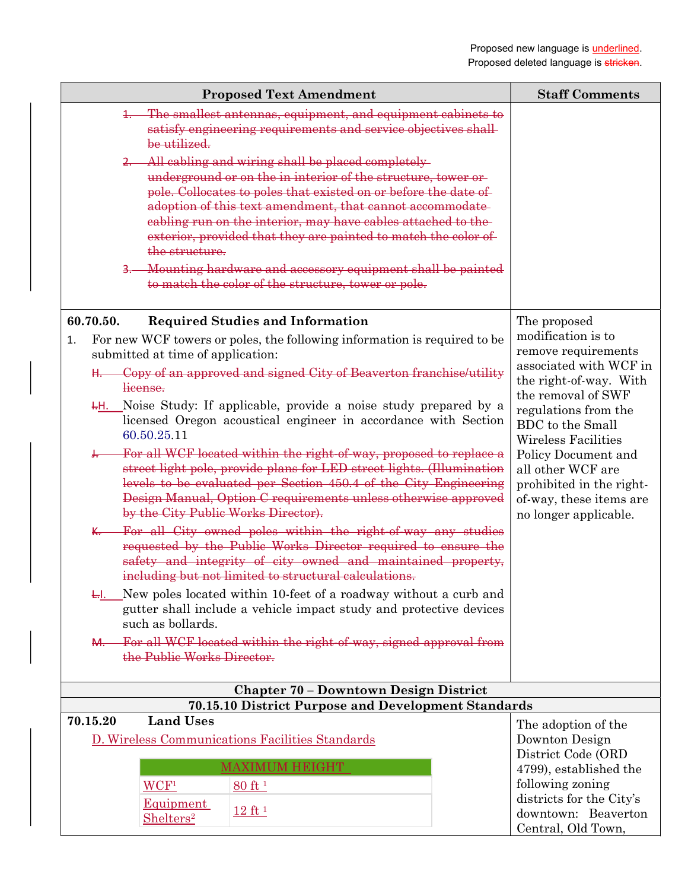| <b>Proposed Text Amendment</b>                                                                                                                                                                                                                                                                                                                                                                                                                                                                                                                                                                                                                                                                                                                                                                                                                                                                                                                                                                                                                                                                                                                                                                                                                                  | <b>Staff Comments</b>                                                                                                                                                                                                                                                                                                     |  |
|-----------------------------------------------------------------------------------------------------------------------------------------------------------------------------------------------------------------------------------------------------------------------------------------------------------------------------------------------------------------------------------------------------------------------------------------------------------------------------------------------------------------------------------------------------------------------------------------------------------------------------------------------------------------------------------------------------------------------------------------------------------------------------------------------------------------------------------------------------------------------------------------------------------------------------------------------------------------------------------------------------------------------------------------------------------------------------------------------------------------------------------------------------------------------------------------------------------------------------------------------------------------|---------------------------------------------------------------------------------------------------------------------------------------------------------------------------------------------------------------------------------------------------------------------------------------------------------------------------|--|
| The smallest antennas, equipment, and equipment cabinets to<br>satisfy engineering requirements and service objectives shall<br>be utilized.                                                                                                                                                                                                                                                                                                                                                                                                                                                                                                                                                                                                                                                                                                                                                                                                                                                                                                                                                                                                                                                                                                                    |                                                                                                                                                                                                                                                                                                                           |  |
| All cabling and wiring shall be placed completely<br>underground or on the in interior of the structure, tower or<br>pole. Collocates to poles that existed on or before the date of<br>adoption of this text amendment, that cannot accommodate-<br>cabling run on the interior, may have cables attached to the-<br>exterior, provided that they are painted to match the color of<br>the structure.                                                                                                                                                                                                                                                                                                                                                                                                                                                                                                                                                                                                                                                                                                                                                                                                                                                          |                                                                                                                                                                                                                                                                                                                           |  |
| Mounting hardware and accessory equipment shall be painted<br>$3-$<br>to match the color of the structure, tower or pole.                                                                                                                                                                                                                                                                                                                                                                                                                                                                                                                                                                                                                                                                                                                                                                                                                                                                                                                                                                                                                                                                                                                                       |                                                                                                                                                                                                                                                                                                                           |  |
| 60.70.50.<br><b>Required Studies and Information</b>                                                                                                                                                                                                                                                                                                                                                                                                                                                                                                                                                                                                                                                                                                                                                                                                                                                                                                                                                                                                                                                                                                                                                                                                            | The proposed                                                                                                                                                                                                                                                                                                              |  |
| For new WCF towers or poles, the following information is required to be<br>1.<br>submitted at time of application:<br>Copy of an approved and signed City of Beaverton franchise/utility<br>license.<br><del>4.</del> Moise Study: If applicable, provide a noise study prepared by a<br>licensed Oregon acoustical engineer in accordance with Section<br>60.50.25.11<br>For all WCF located within the right-of-way, proposed to replace a<br><del>J. _____</del><br>street light pole, provide plans for LED street lights. (Illumination<br>levels to be evaluated per Section 450.4 of the City Engineering<br>Design Manual, Option C requirements unless otherwise approved<br>by the City Public Works Director).<br>For all City owned poles within the right-of-way any studies<br><u>к. —</u><br>requested by the Public Works Director required to ensure the<br>safety and integrity of city owned and maintained property,<br>including but not limited to structural calculations.<br>New poles located within 10-feet of a roadway without a curb and<br>₩.<br>gutter shall include a vehicle impact study and protective devices<br>such as bollards.<br>For all WCF located within the right-of-way, signed approval from<br><del>M. -</del> | modification is to<br>remove requirements<br>associated with WCF in<br>the right-of-way. With<br>the removal of SWF<br>regulations from the<br><b>BDC</b> to the Small<br>Wireless Facilities<br>Policy Document and<br>all other WCF are<br>prohibited in the right-<br>of-way, these items are<br>no longer applicable. |  |
| the Public Works Director.                                                                                                                                                                                                                                                                                                                                                                                                                                                                                                                                                                                                                                                                                                                                                                                                                                                                                                                                                                                                                                                                                                                                                                                                                                      |                                                                                                                                                                                                                                                                                                                           |  |
|                                                                                                                                                                                                                                                                                                                                                                                                                                                                                                                                                                                                                                                                                                                                                                                                                                                                                                                                                                                                                                                                                                                                                                                                                                                                 |                                                                                                                                                                                                                                                                                                                           |  |
| <b>Chapter 70 - Downtown Design District</b><br>70.15.10 District Purpose and Development Standards                                                                                                                                                                                                                                                                                                                                                                                                                                                                                                                                                                                                                                                                                                                                                                                                                                                                                                                                                                                                                                                                                                                                                             |                                                                                                                                                                                                                                                                                                                           |  |
| <b>Land Uses</b><br>70.15.20<br>D. Wireless Communications Facilities Standards<br><b>MAXIMUM HEIGHT</b>                                                                                                                                                                                                                                                                                                                                                                                                                                                                                                                                                                                                                                                                                                                                                                                                                                                                                                                                                                                                                                                                                                                                                        | The adoption of the<br>Downton Design<br>District Code (ORD<br>4799), established the                                                                                                                                                                                                                                     |  |
| WCF <sup>1</sup><br>80 ft 1<br>Equipment<br>12 ft <sup>1</sup><br>Shelters <sup>2</sup>                                                                                                                                                                                                                                                                                                                                                                                                                                                                                                                                                                                                                                                                                                                                                                                                                                                                                                                                                                                                                                                                                                                                                                         | following zoning<br>districts for the City's<br>downtown: Beaverton<br>Central, Old Town,                                                                                                                                                                                                                                 |  |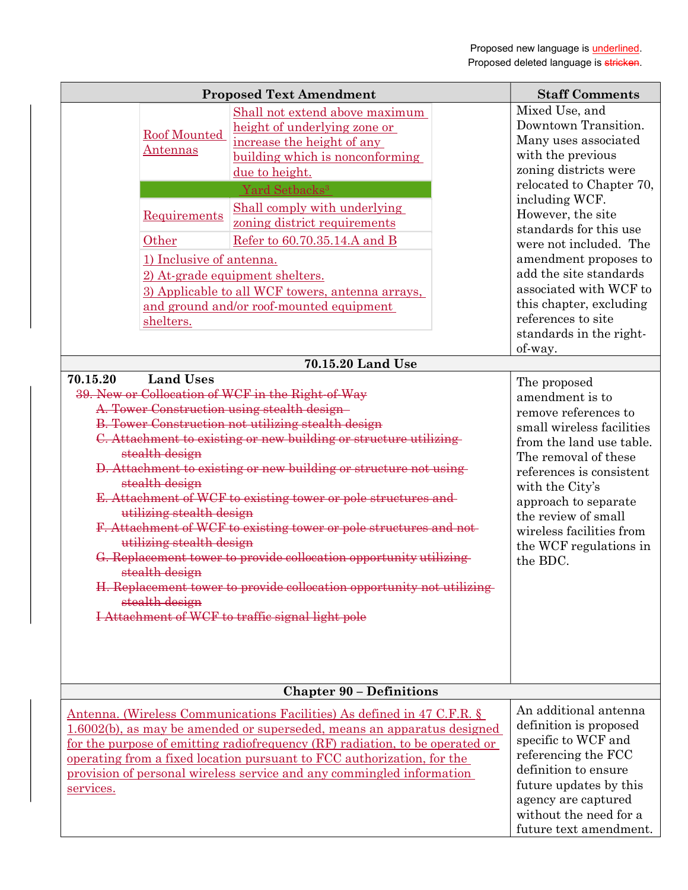|                                                                                                                                                                                                                                                                                                                                                                       | <b>Proposed Text Amendment</b>                                                                                                                                                                                                                                                                                                                                                                                                                                                                                                                                                                                                                                                                                                                                                                                                                                                                                                                                                          | <b>Staff Comments</b>                                                                                                                                                                                                                                                                                                                                                                                                                                                                                                                                                                                                                                                                                               |
|-----------------------------------------------------------------------------------------------------------------------------------------------------------------------------------------------------------------------------------------------------------------------------------------------------------------------------------------------------------------------|-----------------------------------------------------------------------------------------------------------------------------------------------------------------------------------------------------------------------------------------------------------------------------------------------------------------------------------------------------------------------------------------------------------------------------------------------------------------------------------------------------------------------------------------------------------------------------------------------------------------------------------------------------------------------------------------------------------------------------------------------------------------------------------------------------------------------------------------------------------------------------------------------------------------------------------------------------------------------------------------|---------------------------------------------------------------------------------------------------------------------------------------------------------------------------------------------------------------------------------------------------------------------------------------------------------------------------------------------------------------------------------------------------------------------------------------------------------------------------------------------------------------------------------------------------------------------------------------------------------------------------------------------------------------------------------------------------------------------|
| Roof Mounted<br><u>Antennas</u><br>Requirements<br>Other<br>1) Inclusive of antenna.<br>shelters.<br><b>Land Uses</b><br>70.15.20<br>39. New or Collocation of WCF in the Right of Way<br>A. Tower Construction using stealth design-<br>stealth design<br>stealth design<br>utilizing stealth design<br>utilizing stealth design<br>stealth design<br>stealth design | Shall not extend above maximum<br>height of underlying zone or<br>increase the height of any<br>building which is nonconforming<br>due to height.<br>Yard Setbacks <sup>3</sup><br>Shall comply with underlying<br>zoning district requirements<br>Refer to 60.70.35.14.A and B<br>2) At-grade equipment shelters.<br>3) Applicable to all WCF towers, antenna arrays,<br>and ground and/or roof-mounted equipment<br>70.15.20 Land Use<br><b>B. Tower Construction not utilizing stealth design</b><br>C. Attachment to existing or new building or structure utilizing-<br>D. Attachment to existing or new building or structure not using<br>E. Attachment of WCF to existing tower or pole structures and<br>F. Attachment of WCF to existing tower or pole structures and not-<br>G. Replacement tower to provide collocation opportunity utilizing<br>H. Replacement tower to provide collocation opportunity not utilizing-<br>I Attachment of WCF to traffic signal light pole | Mixed Use, and<br>Downtown Transition.<br>Many uses associated<br>with the previous<br>zoning districts were<br>relocated to Chapter 70,<br>including WCF.<br>However, the site<br>standards for this use<br>were not included. The<br>amendment proposes to<br>add the site standards<br>associated with WCF to<br>this chapter, excluding<br>references to site<br>standards in the right-<br>of-way.<br>The proposed<br>amendment is to<br>remove references to<br>small wireless facilities<br>from the land use table.<br>The removal of these<br>references is consistent<br>with the City's<br>approach to separate<br>the review of small<br>wireless facilities from<br>the WCF regulations in<br>the BDC. |
|                                                                                                                                                                                                                                                                                                                                                                       | <b>Chapter 90 - Definitions</b>                                                                                                                                                                                                                                                                                                                                                                                                                                                                                                                                                                                                                                                                                                                                                                                                                                                                                                                                                         |                                                                                                                                                                                                                                                                                                                                                                                                                                                                                                                                                                                                                                                                                                                     |
| services.                                                                                                                                                                                                                                                                                                                                                             | Antenna. (Wireless Communications Facilities) As defined in 47 C.F.R. §<br>1.6002(b), as may be amended or superseded, means an apparatus designed<br>for the purpose of emitting radiofrequency (RF) radiation, to be operated or<br>operating from a fixed location pursuant to FCC authorization, for the<br>provision of personal wireless service and any commingled information                                                                                                                                                                                                                                                                                                                                                                                                                                                                                                                                                                                                   | An additional antenna<br>definition is proposed<br>specific to WCF and<br>referencing the FCC<br>definition to ensure<br>future updates by this<br>agency are captured<br>without the need for a<br>future text amendment.                                                                                                                                                                                                                                                                                                                                                                                                                                                                                          |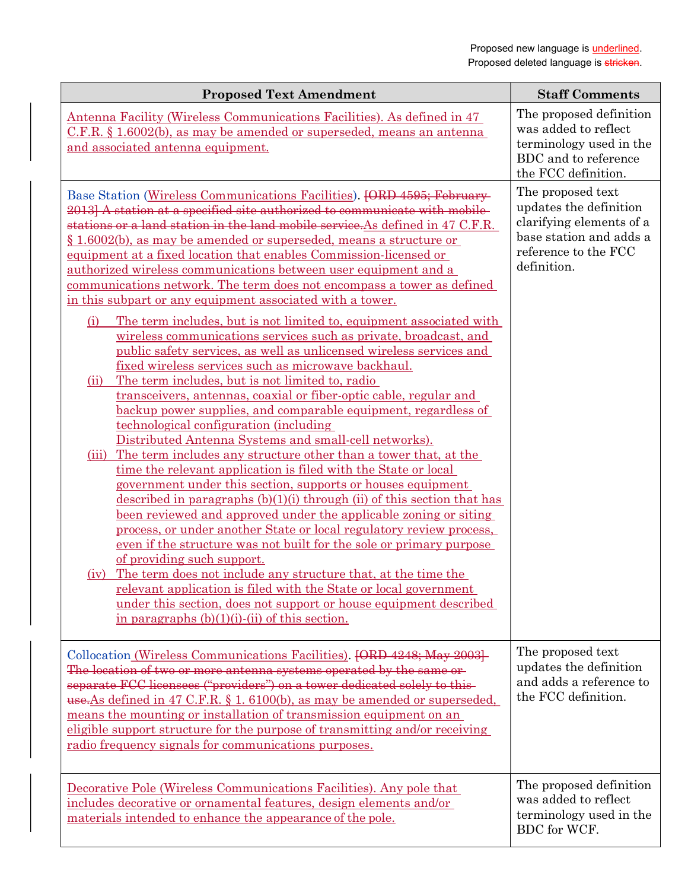| <b>Proposed Text Amendment</b>                                                                                                                                                                                                                                                                                                                                                                                                                                                                                                                                                                                                                                                                                                                                                                                                                                                                                                                                                                                                                                                                                                                                                                                                                                                                                                                                                                                                                                                                                                                                                                                                                                                                                                                                                                         | <b>Staff Comments</b>                                                                                                                     |
|--------------------------------------------------------------------------------------------------------------------------------------------------------------------------------------------------------------------------------------------------------------------------------------------------------------------------------------------------------------------------------------------------------------------------------------------------------------------------------------------------------------------------------------------------------------------------------------------------------------------------------------------------------------------------------------------------------------------------------------------------------------------------------------------------------------------------------------------------------------------------------------------------------------------------------------------------------------------------------------------------------------------------------------------------------------------------------------------------------------------------------------------------------------------------------------------------------------------------------------------------------------------------------------------------------------------------------------------------------------------------------------------------------------------------------------------------------------------------------------------------------------------------------------------------------------------------------------------------------------------------------------------------------------------------------------------------------------------------------------------------------------------------------------------------------|-------------------------------------------------------------------------------------------------------------------------------------------|
| Antenna Facility (Wireless Communications Facilities). As defined in 47<br>C.F.R. § 1.6002(b), as may be amended or superseded, means an antenna<br>and associated antenna equipment.                                                                                                                                                                                                                                                                                                                                                                                                                                                                                                                                                                                                                                                                                                                                                                                                                                                                                                                                                                                                                                                                                                                                                                                                                                                                                                                                                                                                                                                                                                                                                                                                                  | The proposed definition<br>was added to reflect<br>terminology used in the<br>BDC and to reference<br>the FCC definition.                 |
| Base Station (Wireless Communications Facilities). [ORD 4595; February-<br>2013] A station at a specified site authorized to communicate with mobile-<br>stations or a land station in the land mobile service. As defined in 47 C.F.R.<br>§ 1.6002(b), as may be amended or superseded, means a structure or<br>equipment at a fixed location that enables Commission-licensed or<br>authorized wireless communications between user equipment and a<br>communications network. The term does not encompass a tower as defined<br>in this subpart or any equipment associated with a tower.<br>The term includes, but is not limited to, equipment associated with<br>(i)<br>wireless communications services such as private, broadcast, and<br>public safety services, as well as unlicensed wireless services and<br>fixed wireless services such as microwave backhaul.<br>The term includes, but is not limited to, radio<br>(ii)<br>transceivers, antennas, coaxial or fiber-optic cable, regular and<br>backup power supplies, and comparable equipment, regardless of<br>technological configuration (including<br>Distributed Antenna Systems and small-cell networks).<br>The term includes any structure other than a tower that, at the<br>(iii)<br>time the relevant application is filed with the State or local<br>government under this section, supports or houses equipment<br>described in paragraphs $(b)(1)(i)$ through $(ii)$ of this section that has<br>been reviewed and approved under the applicable zoning or siting<br>process, or under another State or local regulatory review process,<br>even if the structure was not built for the sole or primary purpose<br>of providing such support.<br>The term does not include any structure that, at the time the<br>(iv) | The proposed text<br>updates the definition<br>clarifying elements of a<br>base station and adds a<br>reference to the FCC<br>definition. |
| relevant application is filed with the State or local government<br>under this section, does not support or house equipment described<br>in paragraphs $(b)(1)(i)$ - $(ii)$ of this section.                                                                                                                                                                                                                                                                                                                                                                                                                                                                                                                                                                                                                                                                                                                                                                                                                                                                                                                                                                                                                                                                                                                                                                                                                                                                                                                                                                                                                                                                                                                                                                                                           |                                                                                                                                           |
| Collocation (Wireless Communications Facilities). [ORD 4248; May 2003]<br>The location of two or more antenna systems operated by the same or-<br>separate FCC licensees ("providers") on a tower dedicated solely to this-<br>use. As defined in 47 C.F.R. § 1. 6100(b), as may be amended or superseded,<br>means the mounting or installation of transmission equipment on an<br>eligible support structure for the purpose of transmitting and/or receiving<br>radio frequency signals for communications purposes.                                                                                                                                                                                                                                                                                                                                                                                                                                                                                                                                                                                                                                                                                                                                                                                                                                                                                                                                                                                                                                                                                                                                                                                                                                                                                | The proposed text<br>updates the definition<br>and adds a reference to<br>the FCC definition.                                             |
| Decorative Pole (Wireless Communications Facilities). Any pole that<br>includes decorative or ornamental features, design elements and/or<br>materials intended to enhance the appearance of the pole.                                                                                                                                                                                                                                                                                                                                                                                                                                                                                                                                                                                                                                                                                                                                                                                                                                                                                                                                                                                                                                                                                                                                                                                                                                                                                                                                                                                                                                                                                                                                                                                                 | The proposed definition<br>was added to reflect<br>terminology used in the<br>BDC for WCF.                                                |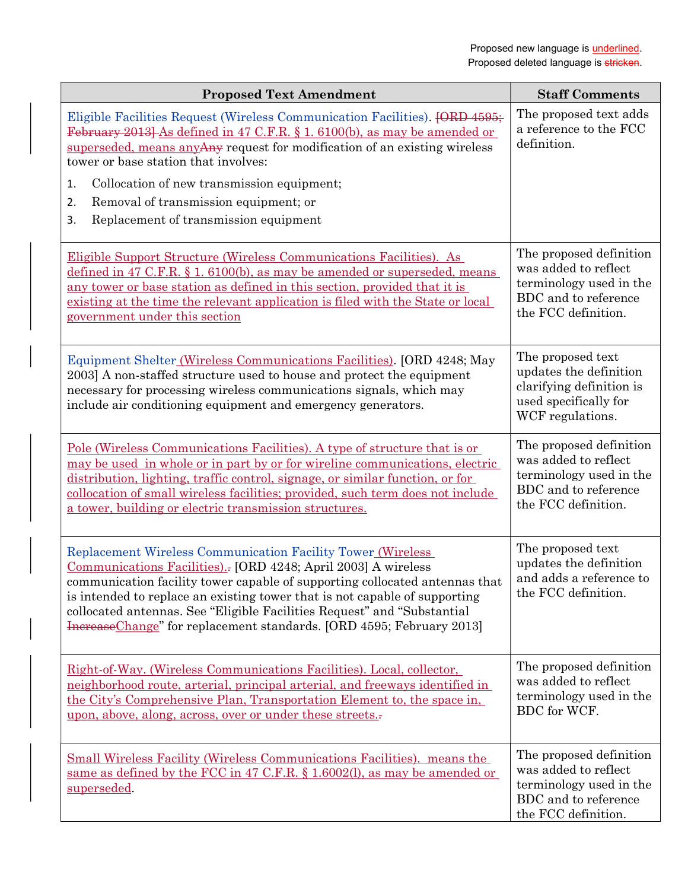| <b>Proposed Text Amendment</b>                                                                                                                                                                                                                                                                                                                                                                                                                       | <b>Staff Comments</b>                                                                                                     |
|------------------------------------------------------------------------------------------------------------------------------------------------------------------------------------------------------------------------------------------------------------------------------------------------------------------------------------------------------------------------------------------------------------------------------------------------------|---------------------------------------------------------------------------------------------------------------------------|
| Eligible Facilities Request (Wireless Communication Facilities). <del>[ORD 4595;</del><br>February 2013] As defined in 47 C.F.R. § 1. 6100(b), as may be amended or<br>superseded, means any Any request for modification of an existing wireless<br>tower or base station that involves:                                                                                                                                                            | The proposed text adds<br>a reference to the FCC<br>definition.                                                           |
| Collocation of new transmission equipment;<br>1.                                                                                                                                                                                                                                                                                                                                                                                                     |                                                                                                                           |
| Removal of transmission equipment; or<br>2.                                                                                                                                                                                                                                                                                                                                                                                                          |                                                                                                                           |
| Replacement of transmission equipment<br>3.                                                                                                                                                                                                                                                                                                                                                                                                          |                                                                                                                           |
| Eligible Support Structure (Wireless Communications Facilities). As<br>defined in 47 C.F.R. $\S$ 1. 6100(b), as may be amended or superseded, means<br>any tower or base station as defined in this section, provided that it is<br>existing at the time the relevant application is filed with the State or local<br>government under this section                                                                                                  | The proposed definition<br>was added to reflect<br>terminology used in the<br>BDC and to reference<br>the FCC definition. |
| Equipment Shelter (Wireless Communications Facilities). [ORD 4248; May<br>2003] A non-staffed structure used to house and protect the equipment<br>necessary for processing wireless communications signals, which may<br>include air conditioning equipment and emergency generators.                                                                                                                                                               | The proposed text<br>updates the definition<br>clarifying definition is<br>used specifically for<br>WCF regulations.      |
| <u>Pole (Wireless Communications Facilities). A type of structure that is or</u><br>may be used in whole or in part by or for wireline communications, electric<br>distribution, lighting, traffic control, signage, or similar function, or for<br>collocation of small wireless facilities; provided, such term does not include<br>a tower, building or electric transmission structures.                                                         | The proposed definition<br>was added to reflect<br>terminology used in the<br>BDC and to reference<br>the FCC definition. |
| <b>Replacement Wireless Communication Facility Tower (Wireless</b><br>Communications Facilities).- [ORD 4248; April 2003] A wireless<br>communication facility tower capable of supporting collocated antennas that<br>is intended to replace an existing tower that is not capable of supporting<br>collocated antennas. See "Eligible Facilities Request" and "Substantial<br>IncreaseChange" for replacement standards. [ORD 4595; February 2013] | The proposed text<br>updates the definition<br>and adds a reference to<br>the FCC definition.                             |
| Right-of-Way. (Wireless Communications Facilities). Local, collector,<br>neighborhood route, arterial, principal arterial, and freeways identified in<br>the City's Comprehensive Plan, Transportation Element to, the space in,<br>upon, above, along, across, over or under these streets.                                                                                                                                                         | The proposed definition<br>was added to reflect<br>terminology used in the<br>BDC for WCF.                                |
| Small Wireless Facility (Wireless Communications Facilities). means the<br>same as defined by the FCC in 47 C.F.R. § 1.6002(l), as may be amended or<br>superseded.                                                                                                                                                                                                                                                                                  | The proposed definition<br>was added to reflect<br>terminology used in the<br>BDC and to reference<br>the FCC definition. |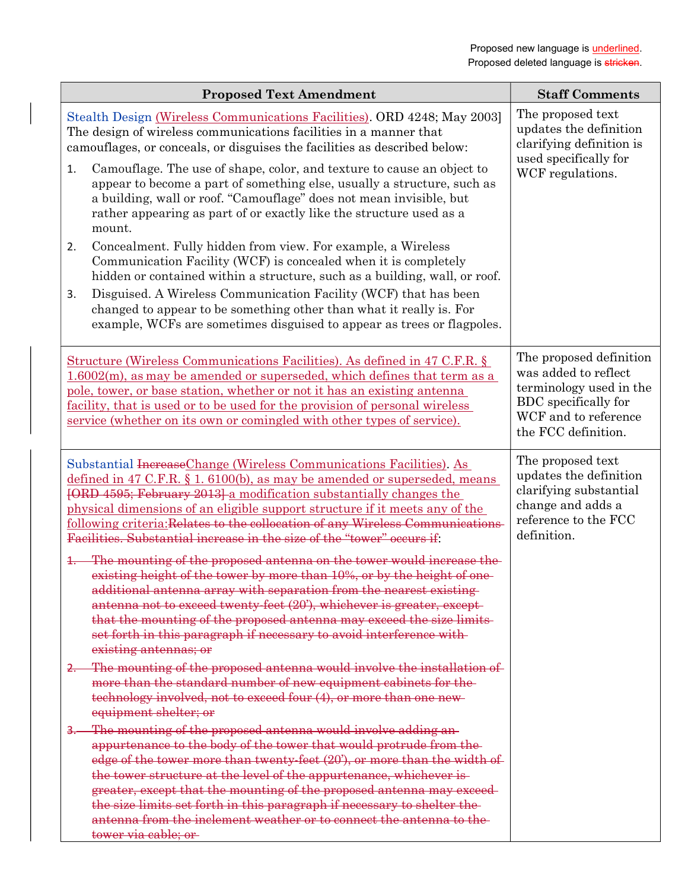| <b>Proposed Text Amendment</b>                                                                                                                                                                                                                                                                                                                                                                                                                                                                                                                             | <b>Staff Comments</b>                                                                                                                             |
|------------------------------------------------------------------------------------------------------------------------------------------------------------------------------------------------------------------------------------------------------------------------------------------------------------------------------------------------------------------------------------------------------------------------------------------------------------------------------------------------------------------------------------------------------------|---------------------------------------------------------------------------------------------------------------------------------------------------|
| Stealth Design (Wireless Communications Facilities). ORD 4248; May 2003]<br>The design of wireless communications facilities in a manner that<br>camouflages, or conceals, or disguises the facilities as described below:                                                                                                                                                                                                                                                                                                                                 | The proposed text<br>updates the definition<br>clarifying definition is<br>used specifically for<br>WCF regulations.                              |
| Camouflage. The use of shape, color, and texture to cause an object to<br>1.<br>appear to become a part of something else, usually a structure, such as<br>a building, wall or roof. "Camouflage" does not mean invisible, but<br>rather appearing as part of or exactly like the structure used as a<br>mount.                                                                                                                                                                                                                                            |                                                                                                                                                   |
| Concealment. Fully hidden from view. For example, a Wireless<br>2.<br>Communication Facility (WCF) is concealed when it is completely<br>hidden or contained within a structure, such as a building, wall, or roof.                                                                                                                                                                                                                                                                                                                                        |                                                                                                                                                   |
| Disguised. A Wireless Communication Facility (WCF) that has been<br>3.<br>changed to appear to be something other than what it really is. For<br>example, WCFs are sometimes disguised to appear as trees or flagpoles.                                                                                                                                                                                                                                                                                                                                    |                                                                                                                                                   |
| <u>Structure (Wireless Communications Facilities). As defined in 47 C.F.R. §</u><br>$1.6002(m)$ , as may be amended or superseded, which defines that term as a<br>pole, tower, or base station, whether or not it has an existing antenna<br>facility, that is used or to be used for the provision of personal wireless<br>service (whether on its own or comingled with other types of service).                                                                                                                                                        | The proposed definition<br>was added to reflect<br>terminology used in the<br>BDC specifically for<br>WCF and to reference<br>the FCC definition. |
| Substantial Increase Change (Wireless Communications Facilities). As<br>defined in 47 C.F.R. $\S$ 1. 6100(b), as may be amended or superseded, means<br>[ORD 4595; February 2013] a modification substantially changes the<br>physical dimensions of an eligible support structure if it meets any of the<br>following criteria: Relates to the collocation of any Wireless Communications-<br>Facilities. Substantial increase in the size of the "tower" occurs if:                                                                                      | The proposed text<br>updates the definition<br>clarifying substantial<br>change and adds a<br>reference to the FCC<br>definition.                 |
| The mounting of the proposed antenna on the tower would increase the<br>existing height of the tower by more than 10%, or by the height of one-<br>additional antenna array with separation from the nearest existing-<br>antenna not to exceed twenty-feet (20'), whichever is greater, except-<br>that the mounting of the proposed antenna may exceed the size limits-<br>set forth in this paragraph if necessary to avoid interference with-<br>existing antennas; or                                                                                 |                                                                                                                                                   |
| 2. The mounting of the proposed antenna would involve the installation of<br>more than the standard number of new equipment cabinets for the-<br>technology involved, not to exceed four (4), or more than one new-<br>equipment shelter; or                                                                                                                                                                                                                                                                                                               |                                                                                                                                                   |
| The mounting of the proposed antenna would involve adding an-<br><u>3. – </u><br>appurtenance to the body of the tower that would protrude from the-<br>edge of the tower more than twenty-feet (20'), or more than the width of<br>the tower structure at the level of the appurtenance, whichever is-<br>greater, except that the mounting of the proposed antenna may exceed-<br>the size limits set forth in this paragraph if necessary to shelter the-<br>antenna from the inclement weather or to connect the antenna to the<br>tower via cable; or |                                                                                                                                                   |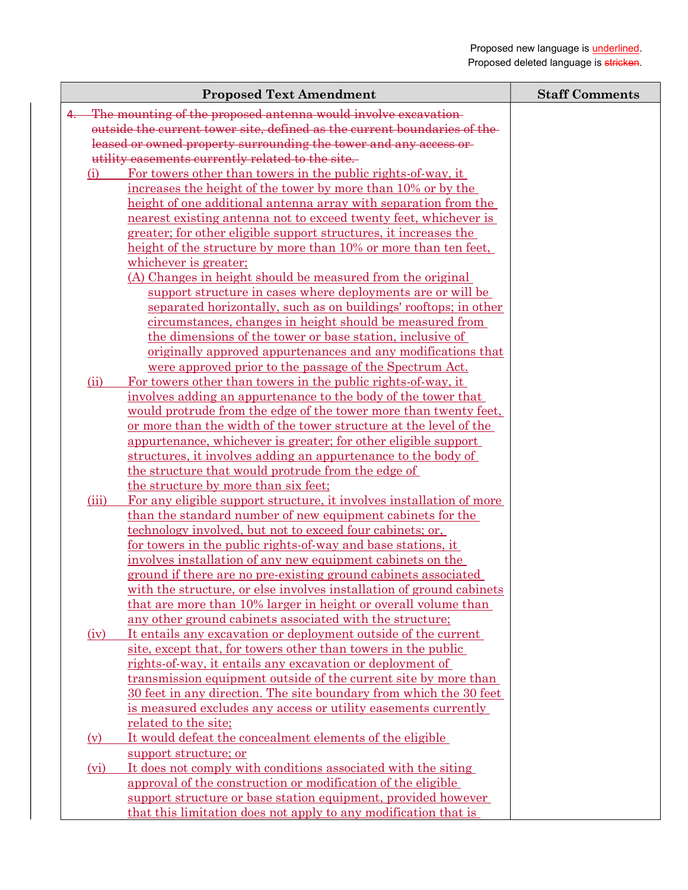| <b>Proposed Text Amendment</b>                                                                                          | <b>Staff Comments</b> |
|-------------------------------------------------------------------------------------------------------------------------|-----------------------|
| The mounting of the proposed antenna would involve excavation-                                                          |                       |
| outside the current tower site, defined as the current boundaries of the-                                               |                       |
| leased or owned property surrounding the tower and any access or                                                        |                       |
| utility easements currently related to the site.                                                                        |                       |
| For towers other than towers in the public rights-of-way, it<br>(i)                                                     |                       |
| increases the height of the tower by more than 10% or by the                                                            |                       |
| height of one additional antenna array with separation from the                                                         |                       |
| nearest existing antenna not to exceed twenty feet, whichever is                                                        |                       |
| greater; for other eligible support structures, it increases the                                                        |                       |
| height of the structure by more than 10% or more than ten feet.                                                         |                       |
| whichever is greater;                                                                                                   |                       |
| (A) Changes in height should be measured from the original                                                              |                       |
| support structure in cases where deployments are or will be                                                             |                       |
| separated horizontally, such as on buildings' rooftops; in other                                                        |                       |
| circumstances, changes in height should be measured from                                                                |                       |
| the dimensions of the tower or base station, inclusive of                                                               |                       |
| originally approved appurtenances and any modifications that                                                            |                       |
| were approved prior to the passage of the Spectrum Act.                                                                 |                       |
| (ii)<br>For towers other than towers in the public rights-of-way, it                                                    |                       |
| involves adding an appurtenance to the body of the tower that                                                           |                       |
| would protrude from the edge of the tower more than twenty feet,                                                        |                       |
| <u>or more than the width of the tower structure at the level of the</u>                                                |                       |
| appurtenance, whichever is greater; for other eligible support                                                          |                       |
| structures, it involves adding an appurtenance to the body of                                                           |                       |
| the structure that would protrude from the edge of                                                                      |                       |
| the structure by more than six feet;                                                                                    |                       |
| (iii)<br>For any eligible support structure, it involves installation of more                                           |                       |
| than the standard number of new equipment cabinets for the<br>technology involved, but not to exceed four cabinets; or, |                       |
| <u>for towers in the public rights-of-way and base stations, it</u>                                                     |                       |
| involves installation of any new equipment cabinets on the                                                              |                       |
| ground if there are no pre-existing ground cabinets associated                                                          |                       |
| with the structure, or else involves installation of ground cabinets                                                    |                       |
| that are more than 10% larger in height or overall volume than                                                          |                       |
| any other ground cabinets associated with the structure;                                                                |                       |
| It entails any excavation or deployment outside of the current<br>(iv)                                                  |                       |
| site, except that, for towers other than towers in the public                                                           |                       |
| <u>rights-of-way, it entails any excavation or deployment of</u>                                                        |                       |
| transmission equipment outside of the current site by more than                                                         |                       |
| 30 feet in any direction. The site boundary from which the 30 feet                                                      |                       |
| is measured excludes any access or utility easements currently                                                          |                       |
| related to the site;                                                                                                    |                       |
| It would defeat the concealment elements of the eligible<br>(v)                                                         |                       |
| support structure; or                                                                                                   |                       |
| It does not comply with conditions associated with the siting<br>(vi)                                                   |                       |
| approval of the construction or modification of the eligible                                                            |                       |
| support structure or base station equipment, provided however                                                           |                       |
| that this limitation does not apply to any modification that is                                                         |                       |